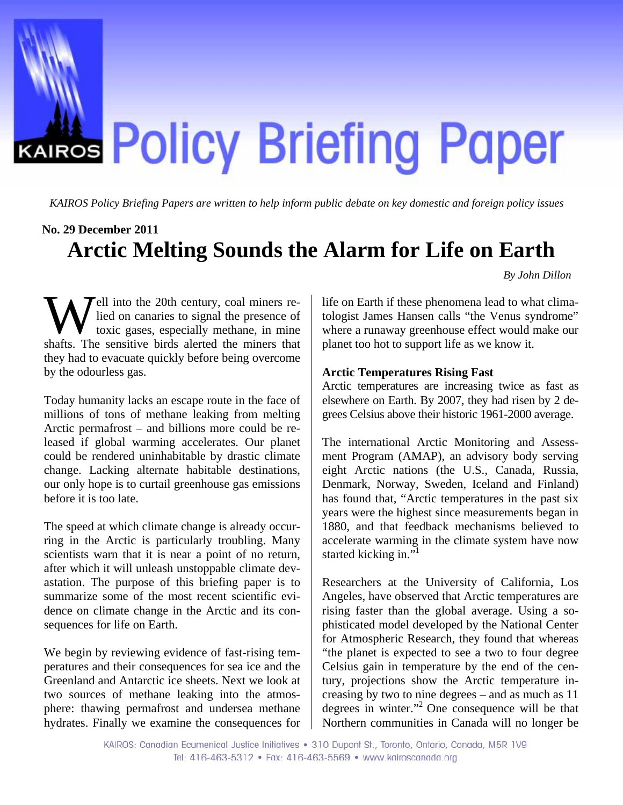

*KAIROS Policy Briefing Papers are written to help inform public debate on key domestic and foreign policy issues*

## **No. 29 December 2011**

# **Arctic Melting Sounds the Alarm for Life on Earth**

*By John Dillon* 

Fell into the 20th century, coal miners relied on canaries to signal the presence of toxic gases, especially methane, in mine Well into the 20th century, coal miners re-<br>lied on canaries to signal the presence of<br>toxic gases, especially methane, in mine<br>shafts. The sensitive birds alerted the miners that they had to evacuate quickly before being overcome by the odourless gas.

Today humanity lacks an escape route in the face of millions of tons of methane leaking from melting Arctic permafrost – and billions more could be released if global warming accelerates. Our planet could be rendered uninhabitable by drastic climate change. Lacking alternate habitable destinations, our only hope is to curtail greenhouse gas emissions before it is too late.

The speed at which climate change is already occurring in the Arctic is particularly troubling. Many scientists warn that it is near a point of no return, after which it will unleash unstoppable climate devastation. The purpose of this briefing paper is to summarize some of the most recent scientific evidence on climate change in the Arctic and its consequences for life on Earth.

We begin by reviewing evidence of fast-rising temperatures and their consequences for sea ice and the Greenland and Antarctic ice sheets. Next we look at two sources of methane leaking into the atmosphere: thawing permafrost and undersea methane hydrates. Finally we examine the consequences for

life on Earth if these phenomena lead to what climatologist James Hansen calls "the Venus syndrome" where a runaway greenhouse effect would make our planet too hot to support life as we know it.

### **Arctic Temperatures Rising Fast**

Arctic temperatures are increasing twice as fast as elsewhere on Earth. By 2007, they had risen by 2 degrees Celsius above their historic 1961-2000 average.

The international Arctic Monitoring and Assessment Program (AMAP), an advisory body serving eight Arctic nations (the U.S., Canada, Russia, Denmark, Norway, Sweden, Iceland and Finland) has found that, "Arctic temperatures in the past six years were the highest since measurements began in 1880, and that feedback mechanisms believed to accelerate warming in the climate system have now started kicking in."

Researchers at the University of California, Los Angeles, have observed that Arctic temperatures are rising faster than the global average. Using a sophisticated model developed by the National Center for Atmospheric Research, they found that whereas "the planet is expected to see a two to four degree Celsius gain in temperature by the end of the century, projections show the Arctic temperature increasing by two to nine degrees – and as much as 11 degrees in winter."2 O[ne](#page-3-1) consequence will be that Northern communities in Canada will no longer be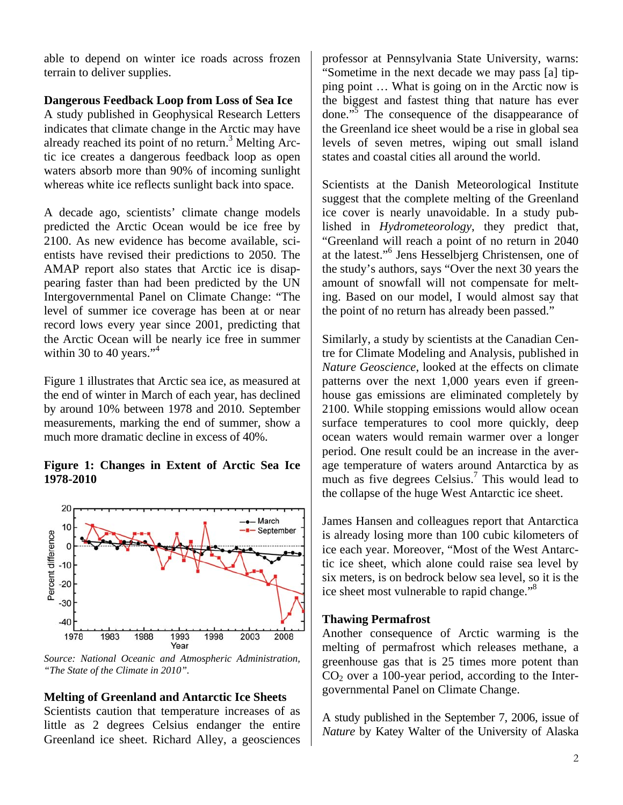able to depend on winter ice roads across frozen terrain to deliver supplies.

# **Dangerous Feedback Loop from Loss of Sea Ice**

A study published in Geophysical Research Letters indicates that climate change in the Arctic may have already reached its point of no return.<sup>[3](#page-3-2)</sup> Melting Arctic ice creates a dangerous feedback loop as open waters absorb more than 90% of incoming sunlight whereas white ice reflects sunlight back into space.

A decade ago, scientists' climate change models predicted the Arctic Ocean would be ice free by 2100. As new evidence has become available, scientists have revised their predictions to 2050. The AMAP report also states that Arctic ice is disappearing faster than had been predicted by the UN Intergovernmental Panel on Climate Change: "The level of summer ice coverage has been at or near record lows every year since 2001, predicting that the Arctic Ocean will be nearly ice free in summer within 30 to 40 years." $4$ 

Figure 1 illustrates that Arctic sea ice, as measured at the end of winter in March of each year, has declined by around 10% between 1978 and 2010. September measurements, marking the end of summer, show a much more dramatic decline in excess of 40%.

## **Figure 1: Changes in Extent of Arctic Sea Ice 1978-2010**



*Source: National Oceanic and Atmospheric Administration, "The State of the Climate in 2010".*

### **Melting of Greenland and Antarctic Ice Sheets**

Scientists caution that temperature increases of as little as 2 degrees Celsius endanger the entire Greenland ice sheet. Richard Alley, a geosciences

professor at Pennsylvania State University, warns: "Sometime in the next decade we may pass [a] tipping point … What is going on in the Arctic now is the biggest and fastest thing that nature has ever done."<sup>[5](#page-3-4)</sup> The consequence of the disappearance of the Greenland ice sheet would be a rise in global sea levels of seven metres, wiping out small island states and coastal cities all around the world.

Scientists at the Danish Meteorological Institute suggest that the complete melting of the Greenland ice cover is nearly unavoidable. In a study published in *Hydrometeorology*, they predict that, "Greenland will reach a point of no return in 2040 at the latest."<sup>[6](#page-3-5)</sup> Jens Hesselbjerg Christensen, one of the study's authors, says "Over the next 30 years the amount of snowfall will not compensate for melting. Based on our model, I would almost say that the point of no return has already been passed."

Similarly, a study by scientists at the Canadian Centre for Climate Modeling and Analysis, published in *Nature Geoscience*, looked at the effects on climate patterns over the next 1,000 years even if greenhouse gas emissions are eliminated completely by 2100. While stopping emissions would allow ocean surface temperatures to cool more quickly, deep ocean waters would remain warmer over a longer period. One result could be an increase in the average temperature of waters around Antarctica by as much as five degrees Celsius.<sup>[7](#page-3-6)</sup> This would lead to the collapse of the huge West Antarctic ice sheet.

James Hansen and colleagues report that Antarctica is already losing more than 100 cubic kilometers of ice each year. Moreover, "Most of the West Antarctic ice sheet, which alone could raise sea level by six meters, is on bedrock below sea level, so it is the ice sheet most vulnerable to rapid change."<sup>[8](#page-3-7)</sup>

#### **Thawing Permafrost**

Another consequence of Arctic warming is the melting of permafrost which releases methane, a greenhouse gas that is 25 times more potent than  $CO<sub>2</sub>$  over a 100-year period, according to the Intergovernmental Panel on Climate Change.

A study published in the September 7, 2006, issue of *Nature* by Katey Walter of the University of Alaska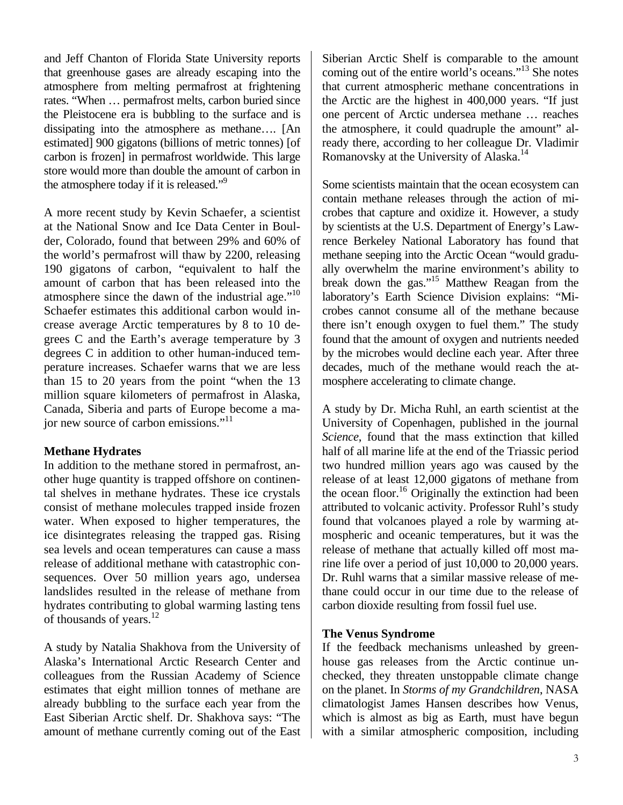and Jeff Chanton of Florida State University reports that greenhouse gases are already escaping into the atmosphere from melting permafrost at frightening rates. "When … permafrost melts, carbon buried since the Pleistocene era is bubbling to the surface and is dissipating into the atmosphere as methane…. [An estimated] 900 gigatons (billions of metric tonnes) [of carbon is frozen] in permafrost worldwide. This large store would more than double the amount of carbon in the atmosphere today if it is released."<sup>[9](#page-3-8)</sup>

A more recent study by Kevin Schaefer, a scientist at the National Snow and Ice Data Center in Boulder, Colorado, found that between 29% and 60% of the world's permafrost will thaw by 2200, releasing 190 gigatons of carbon, "equivalent to half the amount of carbon that has been released into the atmosphere since the dawn of the industrial age."<sup>10</sup> Schaefer estimates this additional carbon would increase average Arctic temperatures by 8 to 10 degrees C and the Earth's average temperature by 3 degrees C in addition to other human-induced temperature increases. Schaefer warns that we are less than 15 to 20 years from the point "when the 13 million square kilometers of permafrost in Alaska, Canada, Siberia and parts of Europe become a major new source of carbon emissions."<sup>11</sup>

# **Methane Hydrates**

In addition to the methane stored in permafrost, another huge quantity is trapped offshore on continental shelves in methane hydrates. These ice crystals consist of methane molecules trapped inside frozen water. When exposed to higher temperatures, the ice disintegrates releasing the trapped gas. Rising sea levels and ocean temperatures can cause a mass release of additional methane with catastrophic consequences. Over 50 million years ago, undersea landslides resulted in the release of methane from hydrates contributing to global warming lasting tens of thousands of years.<sup>[12](#page-3-11)</sup>

A study by Natalia Shakhova from the University of Alaska's International Arctic Research Center and colleagues from the Russian Academy of Science estimates that eight million tonnes of methane are already bubbling to the surface each year from the East Siberian Arctic shelf. Dr. Shakhova says: "The amount of methane currently coming out of the East

Siberian Arctic Shelf is comparable to the amount coming out of the entire world's oceans.["13](#page-3-12) She notes that current atmospheric methane concentrations in the Arctic are the highest in 400,000 years. "If just one percent of Arctic undersea methane … reaches the atmosphere, it could quadruple the amount" already there, according to her colleague Dr. Vladimir Romanovsky at the University of Alaska.[14](#page-3-13)

Some scientists maintain that the ocean ecosystem can contain methane releases through the action of microbes that capture and oxidize it. However, a study by scientists at the U.S. Department of Energy's Lawrence Berkeley National Laboratory has found that methane seeping into the Arctic Ocean "would gradually overwhelm the marine environment's ability to break down the gas.["15](#page-3-14) Matthew Reagan from the laboratory's Earth Science Division explains: "Microbes cannot consume all of the methane because there isn't enough oxygen to fuel them." The study found that the amount of oxygen and nutrients needed by the microbes would decline each year. After three decades, much of the methane would reach the atmosphere accelerating to climate change.

A study by Dr. Micha Ruhl, an earth scientist at the University of Copenhagen, published in the journal *Science*, found that the mass extinction that killed half of all marine life at the end of the Triassic period two hundred million years ago was caused by the release of at least 12,000 gigatons of methane from the ocean floor.<sup>16</sup> Originally the extinction had been attributed to volcanic activity. Professor Ruhl's study found that volcanoes played a role by warming atmospheric and oceanic temperatures, but it was the release of methane that actually killed off most marine life over a period of just 10,000 to 20,000 years. Dr. Ruhl warns that a similar massive release of methane could occur in our time due to the release of carbon dioxide resulting from fossil fuel use.

# **The Venus Syndrome**

If the feedback mechanisms unleashed by greenhouse gas releases from the Arctic continue unchecked, they threaten unstoppable climate change on the planet. In *Storms of my Grandchildren*, NASA climatologist James Hansen describes how Venus, which is almost as big as Earth, must have begun with a similar atmospheric composition, including